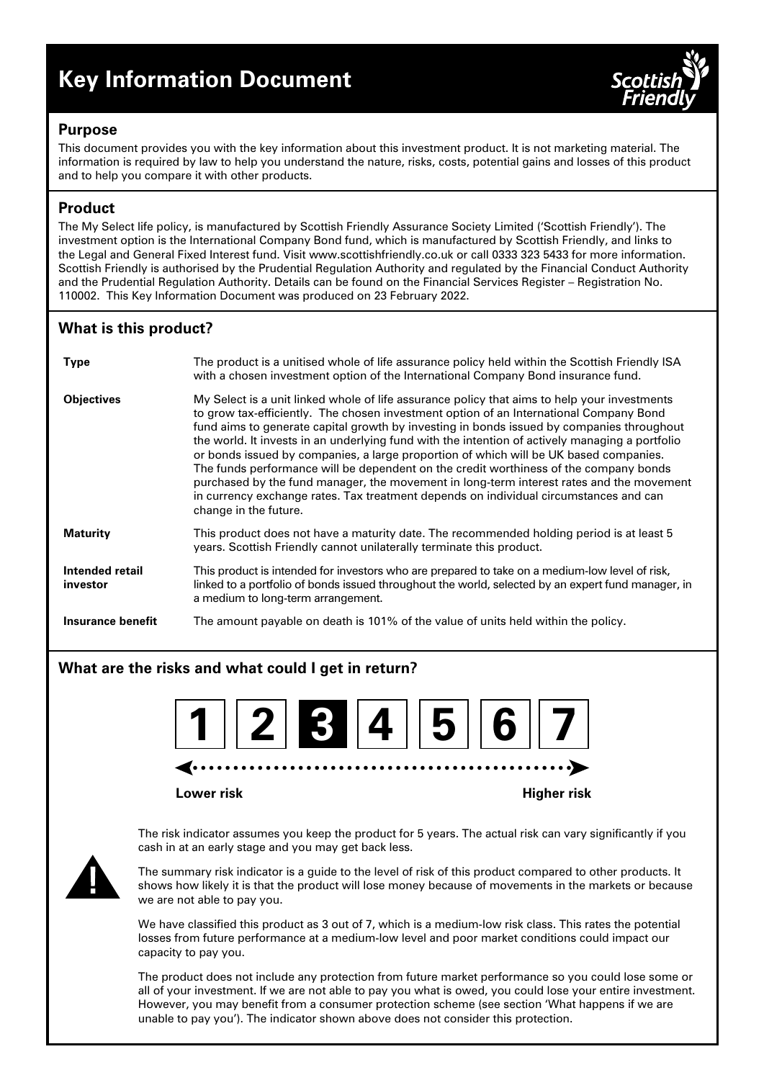# **Key Information Document**



## **Purpose**

This document provides you with the key information about this investment product. It is not marketing material. The information is required by law to help you understand the nature, risks, costs, potential gains and losses of this product and to help you compare it with other products.

# **Product**

The My Select life policy, is manufactured by Scottish Friendly Assurance Society Limited ('Scottish Friendly'). The investment option is the International Company Bond fund, which is manufactured by Scottish Friendly, and links to the Legal and General Fixed Interest fund. Visit www.scottishfriendly.co.uk or call 0333 323 5433 for more information. Scottish Friendly is authorised by the Prudential Regulation Authority and regulated by the Financial Conduct Authority and the Prudential Regulation Authority. Details can be found on the Financial Services Register – Registration No. 110002. This Key Information Document was produced on 23 February 2022.

# **What is this product?**

| <b>Type</b>                 | The product is a unitised whole of life assurance policy held within the Scottish Friendly ISA<br>with a chosen investment option of the International Company Bond insurance fund.                                                                                                                                                                                                                                                                                                                                                                                                                                                                                                                                                                                                    |
|-----------------------------|----------------------------------------------------------------------------------------------------------------------------------------------------------------------------------------------------------------------------------------------------------------------------------------------------------------------------------------------------------------------------------------------------------------------------------------------------------------------------------------------------------------------------------------------------------------------------------------------------------------------------------------------------------------------------------------------------------------------------------------------------------------------------------------|
| <b>Objectives</b>           | My Select is a unit linked whole of life assurance policy that aims to help your investments<br>to grow tax-efficiently. The chosen investment option of an International Company Bond<br>fund aims to generate capital growth by investing in bonds issued by companies throughout<br>the world. It invests in an underlying fund with the intention of actively managing a portfolio<br>or bonds issued by companies, a large proportion of which will be UK based companies.<br>The funds performance will be dependent on the credit worthiness of the company bonds<br>purchased by the fund manager, the movement in long-term interest rates and the movement<br>in currency exchange rates. Tax treatment depends on individual circumstances and can<br>change in the future. |
| <b>Maturity</b>             | This product does not have a maturity date. The recommended holding period is at least 5<br>years. Scottish Friendly cannot unilaterally terminate this product.                                                                                                                                                                                                                                                                                                                                                                                                                                                                                                                                                                                                                       |
| Intended retail<br>investor | This product is intended for investors who are prepared to take on a medium-low level of risk,<br>linked to a portfolio of bonds issued throughout the world, selected by an expert fund manager, in<br>a medium to long-term arrangement.                                                                                                                                                                                                                                                                                                                                                                                                                                                                                                                                             |
| Insurance benefit           | The amount payable on death is 101% of the value of units held within the policy.                                                                                                                                                                                                                                                                                                                                                                                                                                                                                                                                                                                                                                                                                                      |

# **What are the risks and what could I get in return?**



**Lower risk Higher risk**

The risk indicator assumes you keep the product for 5 years. The actual risk can vary significantly if you cash in at an early stage and you may get back less.



The summary risk indicator is a guide to the level of risk of this product compared to other products. It shows how likely it is that the product will lose money because of movements in the markets or because we are not able to pay you.

We have classified this product as 3 out of 7, which is a medium-low risk class. This rates the potential losses from future performance at a medium-low level and poor market conditions could impact our capacity to pay you.

The product does not include any protection from future market performance so you could lose some or all of your investment. If we are not able to pay you what is owed, you could lose your entire investment. However, you may benefit from a consumer protection scheme (see section 'What happens if we are unable to pay you'). The indicator shown above does not consider this protection.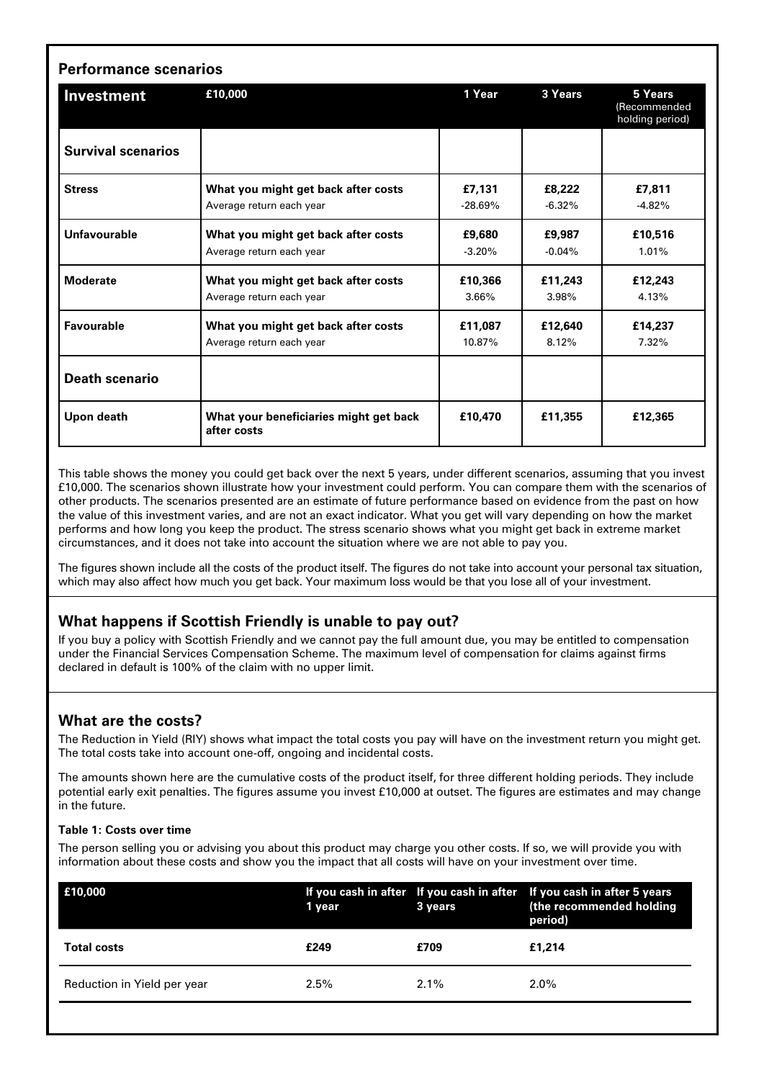| <b>Performance scenarios</b> |                                                                 |                     |                     |                                            |  |  |
|------------------------------|-----------------------------------------------------------------|---------------------|---------------------|--------------------------------------------|--|--|
| Investment                   | £10,000                                                         | 1 Year              | 3 Years             | 5 Years<br>(Recommended<br>holding period) |  |  |
| <b>Survival scenarios</b>    |                                                                 |                     |                     |                                            |  |  |
| <b>Stress</b>                | What you might get back after costs<br>Average return each year | £7,131<br>$-28.69%$ | £8,222<br>$-6.32\%$ | £7,811<br>$-4.82%$                         |  |  |
| <b>Unfavourable</b>          | What you might get back after costs<br>Average return each year | £9,680<br>$-3.20%$  | £9.987<br>$-0.04%$  | £10.516<br>1.01%                           |  |  |
| <b>Moderate</b>              | What you might get back after costs<br>Average return each year | £10,366<br>3.66%    | £11,243<br>3.98%    | £12,243<br>4.13%                           |  |  |
| Favourable                   | What you might get back after costs<br>Average return each year | £11,087<br>10.87%   | £12,640<br>8.12%    | £14,237<br>7.32%                           |  |  |
| <b>Death scenario</b>        |                                                                 |                     |                     |                                            |  |  |
| Upon death                   | What your beneficiaries might get back<br>after costs           | £10,470             | £11,355             | £12,365                                    |  |  |

This table shows the money you could get back over the next 5 years, under different scenarios, assuming that you invest £10,000. The scenarios shown illustrate how your investment could perform. You can compare them with the scenarios of other products. The scenarios presented are an estimate of future performance based on evidence from the past on how the value of this investment varies, and are not an exact indicator. What you get will vary depending on how the market performs and how long you keep the product. The stress scenario shows what you might get back in extreme market circumstances, and it does not take into account the situation where we are not able to pay you.

The figures shown include all the costs of the product itself. The figures do not take into account your personal tax situation, which may also affect how much you get back. Your maximum loss would be that you lose all of your investment.

# **What happens if Scottish Friendly is unable to pay out?**

If you buy a policy with Scottish Friendly and we cannot pay the full amount due, you may be entitled to compensation under the Financial Services Compensation Scheme. The maximum level of compensation for claims against firms declared in default is 100% of the claim with no upper limit.

# **What are the costs?**

The Reduction in Yield (RIY) shows what impact the total costs you pay will have on the investment return you might get. The total costs take into account one-off, ongoing and incidental costs.

The amounts shown here are the cumulative costs of the product itself, for three different holding periods. They include potential early exit penalties. The figures assume you invest £10,000 at outset. The figures are estimates and may change in the future.

#### **Table 1: Costs over time**

The person selling you or advising you about this product may charge you other costs. If so, we will provide you with information about these costs and show you the impact that all costs will have on your investment over time.

| E10,000                     | 1 year  | 3 years | If you cash in after If you cash in after If you cash in after 5 years<br>(the recommended holding<br>period) |
|-----------------------------|---------|---------|---------------------------------------------------------------------------------------------------------------|
| <b>Total costs</b>          | £249    | £709    | £1,214                                                                                                        |
| Reduction in Yield per year | $2.5\%$ | $2.1\%$ | 2.0%                                                                                                          |